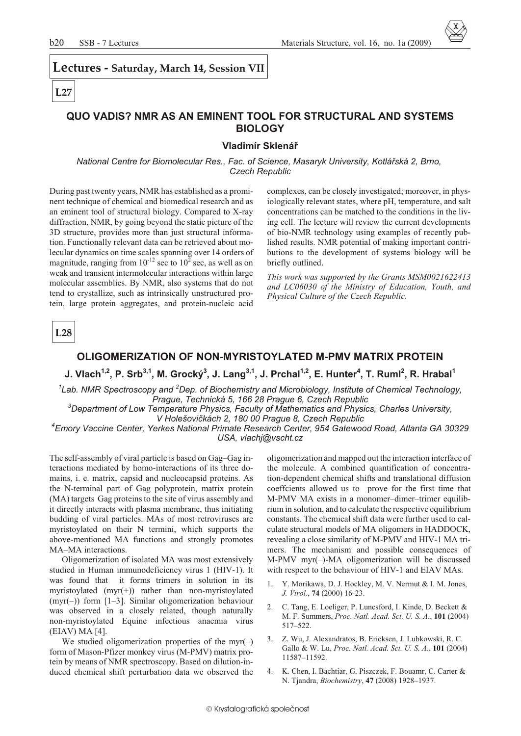Lectures - Saturday, March 14, Session VII

# $L27$

# QUO VADIS? NMR AS AN EMINENT TOOL FOR STRUCTURAL AND SYSTEMS **BIOLOGY**

### Vladimír Sklenář

National Centre for Biomolecular Res., Fac. of Science, Masaryk University, Kotlářská 2, Brno, **Czech Republic** 

During past twenty years, NMR has established as a prominent technique of chemical and biomedical research and as an eminent tool of structural biology. Compared to X-ray diffraction, NMR, by going beyond the static picture of the 3D structure, provides more than just structural information. Functionally relevant data can be retrieved about molecular dynamics on time scales spanning over 14 orders of magnitude, ranging from  $10^{-12}$  sec to  $10^2$  sec, as well as on weak and transient intermolecular interactions within large molecular assemblies. By NMR, also systems that do not tend to crystallize, such as intrinsically unstructured protein, large protein aggregates, and protein-nucleic acid

complexes, can be closely investigated; moreover, in physiologically relevant states, where pH, temperature, and salt concentrations can be matched to the conditions in the living cell. The lecture will review the current developments of bio-NMR technology using examples of recently published results. NMR potential of making important contributions to the development of systems biology will be briefly outlined.

This work was supported by the Grants MSM0021622413 and LC06030 of the Ministry of Education, Youth, and Physical Culture of the Czech Republic.

 $L28$ 

## OLIGOMERIZATION OF NON-MYRISTOYLATED M-PMV MATRIX PROTEIN

J. Vlach<sup>1,2</sup>, P. Srb<sup>3,1</sup>, M. Grocký<sup>3</sup>, J. Lang<sup>3,1</sup>, J. Prchal<sup>1,2</sup>, E. Hunter<sup>4</sup>, T. Ruml<sup>2</sup>, R. Hrabal<sup>1</sup>

 ${}^{1}$ Lab. NMR Spectroscopy and  ${}^{2}$ Dep. of Biochemistry and Microbiology. Institute of Chemical Technology. Prague, Technická 5, 166 28 Prague 6, Czech Republic

<sup>3</sup>Department of Low Temperature Physics, Faculty of Mathematics and Physics, Charles University,

V Holešovičkách 2, 180 00 Prague 8, Czech Republic

<sup>4</sup>Emory Vaccine Center, Yerkes National Primate Research Center, 954 Gatewood Road, Atlanta GA 30329 USA, vlachj@vscht.cz

The self-assembly of viral particle is based on Gag-Gag interactions mediated by homo-interactions of its three domains, i. e. matrix, capsid and nucleocapsid proteins. As the N-terminal part of Gag polyprotein, matrix protein (MA) targets Gag proteins to the site of virus assembly and it directly interacts with plasma membrane, thus initiating budding of viral particles. MAs of most retroviruses are myristoylated on their N termini, which supports the above-mentioned MA functions and strongly promotes MA-MA interactions.

Oligomerization of isolated MA was most extensively studied in Human immunodeficiency virus 1 (HIV-1). It was found that it forms trimers in solution in its myristoylated  $(myr(+))$  rather than non-myristoylated (myr(-)) form  $[1-3]$ . Similar oligomerization behaviour was observed in a closely related, though naturally non-myristoylated Equine infectious anaemia virus  $(EIAV) MA [4].$ 

We studied oligomerization properties of the myr( $-$ ) form of Mason-Pfizer monkey virus (M-PMV) matrix protein by means of NMR spectroscopy. Based on dilution-induced chemical shift perturbation data we observed the

oligomerization and mapped out the interaction interface of the molecule. A combined quantification of concentration-dependent chemical shifts and translational diffusion coeffcients allowed us to prove for the first time that M-PMV MA exists in a monomer-dimer-trimer equilibrium in solution, and to calculate the respective equilibrium constants. The chemical shift data were further used to calculate structural models of MA oligomers in HADDOCK, revealing a close similarity of M-PMV and HIV-1 MA trimers. The mechanism and possible consequences of M-PMV myr(-)-MA oligomerization will be discussed with respect to the behaviour of HIV-1 and EIAV MAs.

- 1. Y. Morikawa, D. J. Hockley, M. V. Nermut & I. M. Jones, J. Virol., 74 (2000) 16-23.
- C. Tang, E. Loeliger, P. Luncsford, I. Kinde, D. Beckett & 2. M. F. Summers, Proc. Natl. Acad. Sci. U. S. A., 101 (2004)  $517 - 522$
- Z. Wu, J. Alexandratos, B. Ericksen, J. Lubkowski, R. C.  $3.$ Gallo & W. Lu, Proc. Natl. Acad. Sci. U. S. A., 101 (2004) 11587-11592
- 4. K. Chen, I. Bachtiar, G. Piszczek, F. Bouamr, C. Carter & N. Tjandra, *Biochemistry*, 47 (2008) 1928-1937.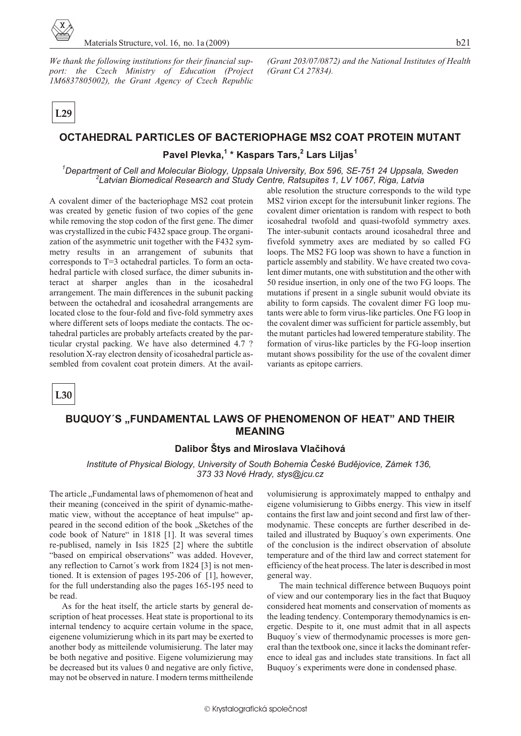

*We thank the following institutions for their financial sup*port: the Czech Ministry of Education (Project *1M6837805002*), the Grant Agency of Czech Republic

**L29**

#### *(Grant 203/07/0872) and the National Institutes of Health (Grant CA 27834).*

# **OCTAHEDRAL PARTICLES OF BACTERIOPHAGE MS2 COAT PROTEIN MUTANT**

**Pavel Plevka,<sup>1</sup> \* Kaspars Tars,<sup>2</sup> Lars Liljas<sup>1</sup>**

<sup>1</sup>Department of Cell and Molecular Biology, Uppsala University, Box 596, SE-751 24 Uppsala, Sweden <sup>2</sup> Latvian Biomedical Research and Study Centre, Ratsupites 1, LV 1067, Riga, Latvia

A covalent dimer of the bacteriophage MS2 coat protein was created by genetic fusion of two copies of the gene while removing the stop codon of the first gene. The dimer was crystallized in the cubic F432 space group. The organization of the asymmetric unit together with the F432 symmetry results in an arrangement of subunits that corresponds to  $T=3$  octahedral particles. To form an octahedral particle with closed surface, the dimer subunits interact at sharper angles than in the icosahedral arrangement. The main differences in the subunit packing between the octahedral and icosahedral arrangements are located close to the four-fold and five-fold symmetry axes where different sets of loops mediate the contacts. The octahedral particles are probably artefacts created by the particular crystal packing. We have also determined 4.7 ? resolution X-ray electron density of icosahedral particle assembled from covalent coat protein dimers. At the available resolution the structure corresponds to the wild type MS2 virion except for the intersubunit linker regions. The covalent dimer orientation is random with respect to both icosahedral twofold and quasi-twofold symmetry axes. The inter-subunit contacts around icosahedral three and five fold symmetry axes are mediated by so called FG loops. The MS2 FG loop was shown to have a function in particle assembly and stability. We have created two covalent dimer mutants, one with substitution and the other with 50 residue insertion, in only one of the two FG loops. The mutations if present in a single subunit would obviate its ability to form capsids. The covalent dimer FG loop mutants were able to form virus-like particles. One FG loop in the covalent dimer was sufficient for particle assembly, but the mutant particles had lowered temperature stability. The formation of virus-like particles by the FG-loop insertion mutant shows possibility for the use of the covalent dimer variants as epitope carriers.

**L30**

# **BUQUOY'S "FUNDAMENTAL LAWS OF PHENOMENON OF HEAT" AND THEIR MEAN ING**

## **Dalibor Štys and Miroslava Vlaèihová**

*Institute of Physical Biology, University of South Bohemia České Budějovice, Zámek 136, 373 33 Nové Hrady, stys@jcu.cz*

The article "Fundamental laws of phemomenon of heat and their meaning (conceived in the spirit of dynamic-mathematic view, without the acceptance of heat impulse "appeared in the second edition of the book . Sketches of the code book of Nature" in 1818 [1]. It was several times re-publised, namely in Isis 1825 [2] where the subtitle "based on empirical observations" was added. Hovever, any reflection to Carnot's work from  $1824$  [3] is not mentioned. It is extension of pages  $195-206$  of [1], however, for the full understanding also the pages 165-195 need to be read.

As for the heat itself, the article starts by general description of heat processes. Heat state is proportional to its internal tendency to acquire certain volume in the space, eigenene volumizierung which in its part may be exerted to an other body as mitteilende volumisierung. The later may be both negative and positive. Eigene volumizierung may be decreased but its values 0 and negative are only fictive, may not be observed in nature. I modern terms mittheilende

volumisierung is approximately mapped to enthalpy and eigene volumisierung to Gibbs energy. This view in itself contains the first law and joint second and first law of thermodynamic. These concepts are further described in detailed and illustrated by Buquoy's own experiments. One of the conclusion is the indirect observation of absolute temperature and of the third law and correct statement for efficiency of the heat process. The later is described in most general way.

The main technical difference between Buquoys point of view and our contemporary lies in the fact that Buquoy considered heat moments and conservation of moments as the leading tendency. Contemporary themodynamics is energetic. Despite to it, one must admit that in all aspects Buquoy's view of thermodynamic processes is more general than the textbook one, since it lacks the dominant reference to ideal gas and includes state transitions. In fact all Buquoy's experiments were done in condensed phase.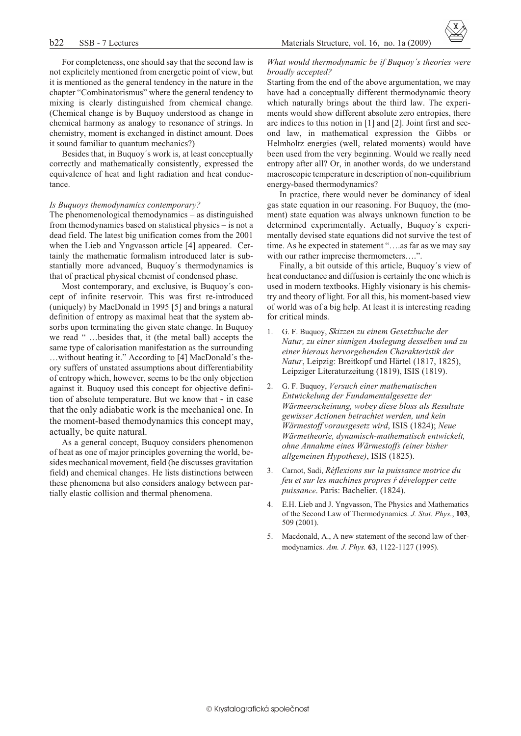For completeness, one should say that the second law is not explicitely mentioned from energetic point of view, but it is mentioned as the general tendency in the nature in the chapter "Combinatorismus" where the general tendency to mixing is clearly distinguished from chemical change. (Chemical change is by Buquoy understood as change in chemical harmony as analogy to resonance of strings. In chemistry, moment is exchanged in distinct amount. Does it sound familiar to quantum mechanics?)

Besides that, in Buquoy's work is, at least conceptually correctly and mathematically consistently, expressed the equivalence of heat and light radiation and heat conductance.

#### *Is Buquoys themodynamics con tem po rary?*

The phenomenological themodynamics  $-$  as distinguished from themodynamics based on statistical physics  $-$  is not a dead field. The latest big unification comes from the 2001 when the Lieb and Yngvasson article [4] appeared. Certainly the mathematic formalism introduced later is substantially more advanced, Buquoy's thermodynamics is that of practical physical chemist of condensed phase.

Most contemporary, and exclusive, is Buquoy's concept of infinite reservoir. This was first re-introduced (uniquely) by MacDonald in 1995  $[5]$  and brings a natural definition of entropy as maximal heat that the system absorbs upon terminating the given state change. In Buquoy we read " ...besides that, it (the metal ball) accepts the same type of calorisation manifestation as the surrounding ... without heating it." According to [4] MacDonald's theory suffers of unstated assumptions about differentiability of entropy which, however, seems to be the only objection against it. Buquoy used this concept for objective definition of absolute temperature. But we know that - in case that the only adiabatic work is the mechanical one. In the moment-based themodynamics this concept may, actually, be quite natural.

As a general concept, Buquoy considers phenomenon of heat as one of major principles governing the world, besides mechanical movement, field (he discusses gravitation field) and chemical changes. He lists distinctions between these phenomena but also considers analogy between partially elastic collision and thermal phenomena.

#### *What would thermodynamic be if Buquoy's theories were broadly ac cepted?*

Starting from the end of the above argumentation, we may have had a conceptually different thermodynamic theory which naturally brings about the third law. The experiments would show different absolute zero entropies, there are indices to this notion in  $[1]$  and  $[2]$ . Joint first and second law, in mathematical expression the Gibbs or Helmholtz energies (well, related moments) would have been used from the very beginning. Would we really need entropy after all? Or, in another words, do we understand macroscopic temperature in description of non-equilibrium energy-based thermodynamics?

In practice, there would never be dominancy of ideal gas state equation in our reasoning. For Buquoy, the (moment) state equation was always unknown function to be determined experimentally. Actually, Buquoy's experimentally devised state equations did not survive the test of time. As he expected in statement "....as far as we may say with our rather imprecise thermometers....".

Finally, a bit outside of this article, Buquoy's view of heat conductance and diffusion is certainly the one which is used in modern textbooks. Highly visionary is his chemistry and theory of light. For all this, his moment-based view of world was of a big help. At least it is interesting reading for critical minds.

- 1. G. F. Buquoy, *Skizzen zu einem Gesetzbuche der Natur, zu einer sinnigen Auslegung desselben und zu einer hieraus hervorgehenden Charakteristik der Natur*, Leipzig: Breitkopf und Härtel (1817, 1825), Leipziger Literaturzeitung (1819), ISIS (1819).
- 2. G. F. Buquoy, *Versuch einer mathematischen Entwickelung der Fundamentalgesetze der Wärmeerscheinung, wobey diese bloss als Resultate gewisser Actionen betrachtet werden, und kein Wärmestoff vorausgesetz wird*, ISIS (1824); *Neue Wärmetheorie, dynamisch-mathematisch entwickelt, ohne An nahme eines Wärmestoffs (einer bisher allgemeinen Hypothese)*, ISIS (1825).
- 3. Car not, Sadi, *Réflexions sur la puis sance motrice du feu et sur les ma chines propres à développer cette puissance*. Paris: Bachelier. (1824).
- 4. E.H. Lieb and J. Yngvasson, The Physics and Mathematics of the Second Law of Thermodynamics. *J. Stat. Phys.*, 103, 509 (2001).
- Macdonald, A., A new statement of the second law of thermodynamics. Am. J. Phys. **63**, 1122-1127 (1995).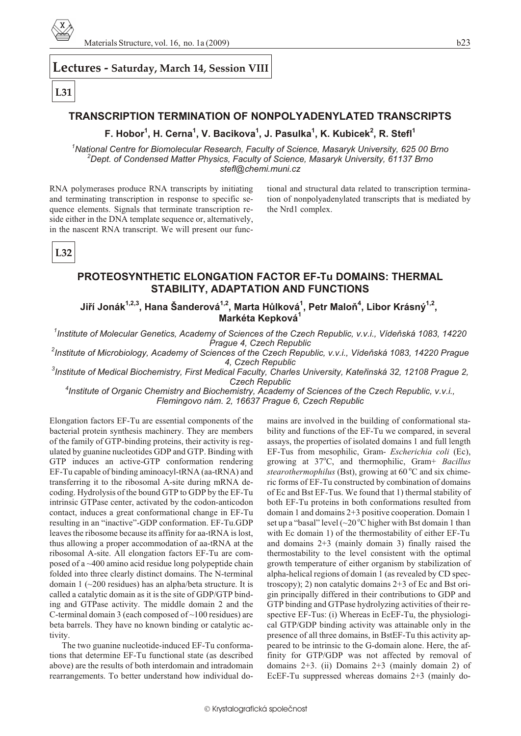

## **Lec tures - Saturday, March 14, Session VIII**

# **L31**

# **TRANSCRIPTION TERMINATION OF NONPOLYADENYLATED TRANSCRIPTS**

# **F. Hobor<sup>1</sup> , H. Cerna<sup>1</sup> , V. Bacikova<sup>1</sup> , J. Pasulka<sup>1</sup> , K. Kubicek<sup>2</sup> , R. Stefl<sup>1</sup>**

<sup>1</sup> National Centre for Biomolecular Research, Faculty of Science, Masaryk University, 625 00 Brno <sup>2</sup>Dept. of Condensed Matter Physics, Faculty of Science, Masaryk University, 61137 Brno *stefl@chemi.muni.cz*

RNA polymerases produce RNA transcripts by initiating and terminating transcription in response to specific sequence elements. Signals that terminate transcription reside either in the DNA template sequence or, alternatively, in the nascent RNA transcript. We will present our func-

tional and structural data related to transcription termination of nonpolyadenylated transcripts that is mediated by the Nrd1 complex.

**L32**

# **PROTEOSYNTHETIC ELONGATION FACTOR EF-Tu DOMAINS: THERMAL STABILITY, ADAPTATION AND FUNCTIONS**

**Jiøí Jonák1,2,3, Hana Šanderová1,2, Marta Hùlková<sup>1</sup> , Petr Maloò<sup>4</sup> , Libor Krásný1,2 , Markéta Kepková<sup>1</sup>**

<sup>1</sup> Institute of Molecular Genetics, Academy of Sciences of the Czech Republic, v.v.i., Vídeňská 1083, 14220 **Prague 4, Czech Republic** 

<sup>2</sup> Institute of Microbiology, Academy of Sciences of the Czech Republic, v.v.i., Vídeňská 1083, 14220 Prague *4, Czech Re pub lic*

<sup>3</sup> Institute of Medical Biochemistry, First Medical Faculty, Charles University, Kateřinská 32, 12108 Prague 2, *Czech Republic* 

<sup>4</sup> Institute of Organic Chemistry and Biochemistry, Academy of Sciences of the Czech Republic, v.v.i., *Flemingovo nám. 2, 16637 Prague 6, Czech Republic* 

Elongation factors EF-Tu are essential components of the bacterial protein synthesis machinery. They are members of the family of GTP-binding proteins, their activity is regulated by guanine nucleotides GDP and GTP. Binding with GTP induces an active-GTP conformation rendering EF-Tu capable of binding aminoacyl-tRNA (aa-tRNA) and transferring it to the ribosomal A-site during mRNA decoding. Hydrolysis of the bound GTP to GDP by the EF-Tu intrinsic GTPase center, activated by the codon-anticodon contact, induces a great conformational change in EF-Tu resulting in an "inactive"-GDP conformation. EF-Tu.GDP leaves the ribosome because its affinity for aa-tRNA is lost, thus allowing a proper accommodation of aa-tRNA at the ribosomal A-site. All elongation factors EF-Tu are composed of a  $\sim$ 400 amino acid residue long polypeptide chain folded into three clearly distinct domains. The N-terminal domain 1  $(\sim 200 \text{ residues})$  has an alpha/beta structure. It is called a catalytic domain as it is the site of GDP/GTP binding and GTPase activity. The middle domain 2 and the C-terminal domain 3 (each composed of  $\sim$ 100 residues) are beta barrels. They have no known binding or catalytic activity.

The two guanine nucleotide-induced EF-Tu conformations that determine EF-Tu functional state (as described above) are the results of both interdomain and intradomain re arrangements. To better understand how individual do-

mains are involved in the building of conformational stability and functions of the EF-Tu we compared, in several assays, the properties of isolated domains 1 and full length EF-Tus from mesophilic, Gram- *Escherichia coli* (Ec), growing at 37°C, and thermophilic, Gram+ *Bacillus stearothermophilus* (Bst), growing at 60 °C and six chimeric forms of EF-Tu constructed by combination of domains of Ec and Bst EF-Tus. We found that 1) thermal stability of both EF-Tu proteins in both conformations resulted from domain 1 and domains  $2+3$  positive cooperation. Domain 1 set up a "basal" level  $(\sim 20\degree C$  higher with Bst domain 1 than with Ec domain 1) of the thermostability of either EF-Tu and domains  $2+3$  (mainly domain 3) finally raised the thermostability to the level consistent with the optimal growth temperature of either organism by stabilization of alpha-helical regions of domain 1 (as revealed by CD spectroscopy); 2) non catalytic domains  $2+3$  of Ec and Bst origin principally differed in their contributions to GDP and GTP binding and GTPase hydrolyzing activities of their respective  $EF-Tus$ : (i) Whereas in EcEF-Tu, the physiological GTP/GDP binding activity was attainable only in the presence of all three domains, in BstEF-Tu this activity appeared to be intrinsic to the G-domain alone. Here, the affinity for GTP/GDP was not affected by removal of domains  $2+3$ . (ii) Domains  $2+3$  (mainly domain 2) of EcEF-Tu suppressed whereas domains  $2+3$  (mainly do-